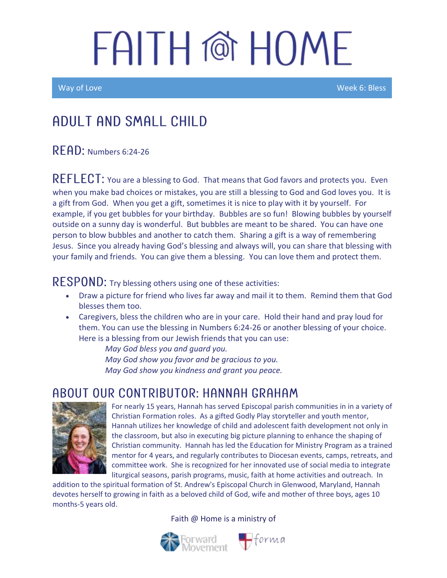Way of Love New York Control of the Control of the Control of the Week 6: Bless

### Adult and Small Child

#### $R$   $F$  $R$  $D$ : Numbers 6:24-26

REFLECT: You are a blessing to God. That means that God favors and protects you. Even when you make bad choices or mistakes, you are still a blessing to God and God loves you. It is a gift from God. When you get a gift, sometimes it is nice to play with it by yourself. For example, if you get bubbles for your birthday. Bubbles are so fun! Blowing bubbles by yourself outside on a sunny day is wonderful. But bubbles are meant to be shared. You can have one person to blow bubbles and another to catch them. Sharing a gift is a way of remembering Jesus. Since you already having God's blessing and always will, you can share that blessing with your family and friends. You can give them a blessing. You can love them and protect them.

#### **Try blessing others using one of these activities:**

- Draw a picture for friend who lives far away and mail it to them. Remind them that God blesses them too.
- Caregivers, bless the children who are in your care. Hold their hand and pray loud for them. You can use the blessing in Numbers 6:24-26 or another blessing of your choice. Here is a blessing from our Jewish friends that you can use:

*May God bless you and guard you. May God show you favor and be gracious to you. May God show you kindness and grant you peace.*

#### ABOUT OUR CONTRIBUTOR: HANNAH GRAHAM



For nearly 15 years, Hannah has served Episcopal parish communities in in a variety of Christian Formation roles. As a gifted Godly Play storyteller and youth mentor, Hannah utilizes her knowledge of child and adolescent faith development not only in the classroom, but also in executing big picture planning to enhance the shaping of Christian community. Hannah has led the Education for Ministry Program as a trained mentor for 4 years, and regularly contributes to Diocesan events, camps, retreats, and committee work. She is recognized for her innovated use of social media to integrate liturgical seasons, parish programs, music, faith at home activities and outreach. In

addition to the spiritual formation of St. Andrew's Episcopal Church in Glenwood, Maryland, Hannah devotes herself to growing in faith as a beloved child of God, wife and mother of three boys, ages 10 months-5 years old.

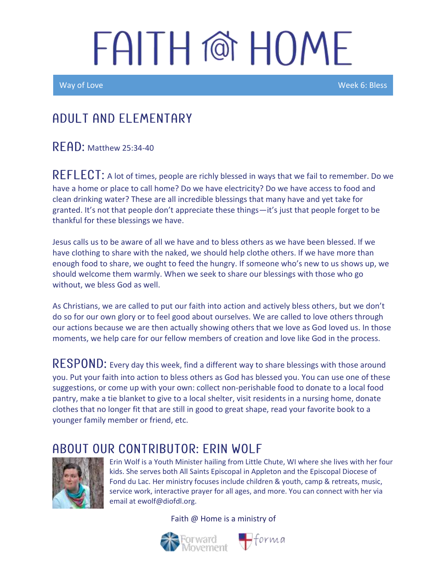Ī

Way of Love Week 6: Bless

### A DULT AND ELEMENTARY

 $R$  $F$  $A$  $D$ : Matthew 25:34-40

REFLECT: A lot of times, people are richly blessed in ways that we fail to remember. Do we have a home or place to call home? Do we have electricity? Do we have access to food and clean drinking water? These are all incredible blessings that many have and yet take for granted. It's not that people don't appreciate these things—it's just that people forget to be thankful for these blessings we have.

Jesus calls us to be aware of all we have and to bless others as we have been blessed. If we have clothing to share with the naked, we should help clothe others. If we have more than enough food to share, we ought to feed the hungry. If someone who's new to us shows up, we should welcome them warmly. When we seek to share our blessings with those who go without, we bless God as well.

As Christians, we are called to put our faith into action and actively bless others, but we don't do so for our own glory or to feel good about ourselves. We are called to love others through our actions because we are then actually showing others that we love as God loved us. In those moments, we help care for our fellow members of creation and love like God in the process.

RESPOND: Every day this week, find a different way to share blessings with those around you. Put your faith into action to bless others as God has blessed you. You can use one of these suggestions, or come up with your own: collect non-perishable food to donate to a local food pantry, make a tie blanket to give to a local shelter, visit residents in a nursing home, donate clothes that no longer fit that are still in good to great shape, read your favorite book to a younger family member or friend, etc.

### ABOUT OUR CONTRIBUTOR: ERIN WOLF



Erin Wolf is a Youth Minister hailing from Little Chute, WI where she lives with her four kids. She serves both All Saints Episcopal in Appleton and the Episcopal Diocese of Fond du Lac. Her ministry focuses include children & youth, camp & retreats, music, service work, interactive prayer for all ages, and more. You can connect with her via email at ewolf@diofdl.org.



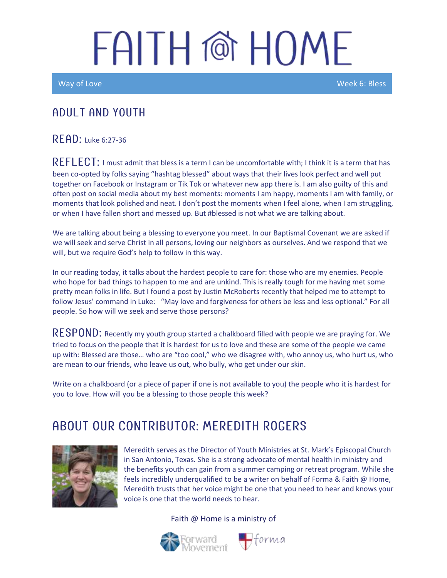Way of Love New York Control of the Control of the Control of the Control of the Week 6: Bless

#### ADULT AND YOUTH

RFAD: Luke 6:27-36

REFLECT: I must admit that bless is a term I can be uncomfortable with; I think it is a term that has been co-opted by folks saying "hashtag blessed" about ways that their lives look perfect and well put together on Facebook or Instagram or Tik Tok or whatever new app there is. I am also guilty of this and often post on social media about my best moments: moments I am happy, moments I am with family, or moments that look polished and neat. I don't post the moments when I feel alone, when I am struggling, or when I have fallen short and messed up. But #blessed is not what we are talking about.

We are talking about being a blessing to everyone you meet. In our Baptismal Covenant we are asked if we will seek and serve Christ in all persons, loving our neighbors as ourselves. And we respond that we will, but we require God's help to follow in this way.

In our reading today, it talks about the hardest people to care for: those who are my enemies. People who hope for bad things to happen to me and are unkind. This is really tough for me having met some pretty mean folks in life. But I found a post by Justin McRoberts recently that helped me to attempt to follow Jesus' command in Luke: "May love and forgiveness for others be less and less optional." For all people. So how will we seek and serve those persons?

RESPOND: Recently my youth group started a chalkboard filled with people we are praying for. We tried to focus on the people that it is hardest for us to love and these are some of the people we came up with: Blessed are those… who are "too cool," who we disagree with, who annoy us, who hurt us, who are mean to our friends, who leave us out, who bully, who get under our skin.

Write on a chalkboard (or a piece of paper if one is not available to you) the people who it is hardest for you to love. How will you be a blessing to those people this week?

### AROUT OUR CONTRIBUTOR: MEREDITH ROGERS



Meredith serves as the Director of Youth Ministries at St. Mark's Episcopal Church in San Antonio, Texas. She is a strong advocate of mental health in ministry and the benefits youth can gain from a summer camping or retreat program. While she feels incredibly underqualified to be a writer on behalf of Forma & Faith @ Home, Meredith trusts that her voice might be one that you need to hear and knows your voice is one that the world needs to hear.